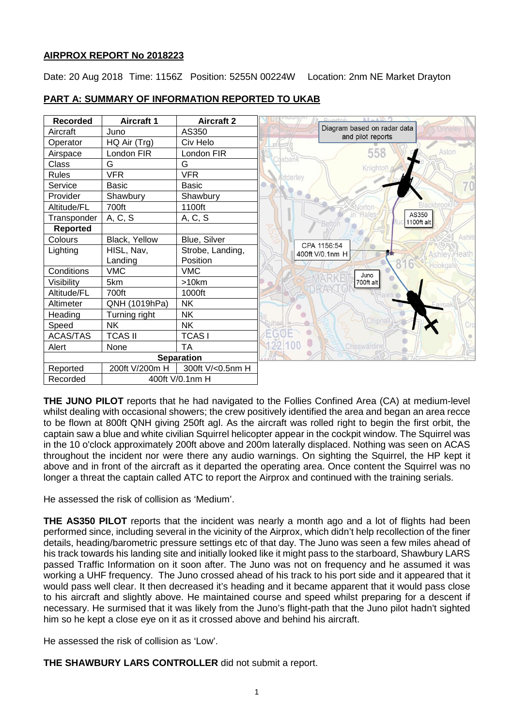# **AIRPROX REPORT No 2018223**

Date: 20 Aug 2018 Time: 1156Z Position: 5255N 00224W Location: 2nm NE Market Drayton

| <b>Recorded</b>             | <b>Aircraft 1</b> | <b>Aircraft 2</b> | $A = 4 \times 2$<br>Duarton                                |
|-----------------------------|-------------------|-------------------|------------------------------------------------------------|
| Aircraft                    | Juno              | AS350             | Diagram based on radar data<br>Onnele<br>and pilot reports |
| Operator                    | HQ Air (Trg)      | Civ Helo          |                                                            |
| Airspace                    | London FIR        | London FIR        | 558<br>Aston                                               |
| Class                       | G                 | G                 | <b>Coxbank</b><br>Knighton                                 |
| <b>Rules</b>                | <b>VFR</b>        | <b>VFR</b>        | <b>Mdderley</b>                                            |
| Service                     | <b>Basic</b>      | <b>Basic</b>      |                                                            |
| Provider                    | Shawbury          | Shawbury          |                                                            |
| Altitude/FL                 | 700ft             | 1100ft            | Blackbrool                                                 |
| Transponder                 | A, C, S           | A, C, S           | AS350<br>1100ft alt                                        |
| <b>Reported</b>             |                   |                   |                                                            |
| Colours                     | Black, Yellow     | Blue, Silver      | <b>Ashle</b><br>CPA 1156:54                                |
| Lighting                    | HISL, Nav,        | Strobe, Landing,  | 400ft V/0.1nm H<br>云太<br><b>Ashley Heath</b>               |
|                             | Landing           | Position          | Hookgate                                                   |
| Conditions                  | <b>VMC</b>        | <b>VMC</b>        | Juno                                                       |
| Visibility                  | 5km               | >10km             | 700ft alt                                                  |
| Altitude/FL                 | 700ft             | 1000ft            |                                                            |
| Altimeter                   | QNH (1019hPa)     | <b>NK</b>         |                                                            |
| Heading                     | Turning right     | <b>NK</b>         |                                                            |
| Speed                       | <b>NK</b>         | <b>NK</b>         | Chipna                                                     |
| ACAS/TAS                    | <b>TCAS II</b>    | <b>TCASI</b>      |                                                            |
| Alert                       | None              | <b>TA</b>         | <b>Cheswardine</b>                                         |
|                             |                   | <b>Separation</b> |                                                            |
| Reported                    | 200ft V/200m H    | 300ft V/<0.5nm H  |                                                            |
| Recorded<br>400ft V/0.1nm H |                   |                   |                                                            |

# **PART A: SUMMARY OF INFORMATION REPORTED TO UKAB**

**THE JUNO PILOT** reports that he had navigated to the Follies Confined Area (CA) at medium-level whilst dealing with occasional showers; the crew positively identified the area and began an area recce to be flown at 800ft QNH giving 250ft agl. As the aircraft was rolled right to begin the first orbit, the captain saw a blue and white civilian Squirrel helicopter appear in the cockpit window. The Squirrel was in the 10 o'clock approximately 200ft above and 200m laterally displaced. Nothing was seen on ACAS throughout the incident nor were there any audio warnings. On sighting the Squirrel, the HP kept it above and in front of the aircraft as it departed the operating area. Once content the Squirrel was no longer a threat the captain called ATC to report the Airprox and continued with the training serials.

He assessed the risk of collision as 'Medium'.

**THE AS350 PILOT** reports that the incident was nearly a month ago and a lot of flights had been performed since, including several in the vicinity of the Airprox, which didn't help recollection of the finer details, heading/barometric pressure settings etc of that day. The Juno was seen a few miles ahead of his track towards his landing site and initially looked like it might pass to the starboard, Shawbury LARS passed Traffic Information on it soon after. The Juno was not on frequency and he assumed it was working a UHF frequency. The Juno crossed ahead of his track to his port side and it appeared that it would pass well clear. It then decreased it's heading and it became apparent that it would pass close to his aircraft and slightly above. He maintained course and speed whilst preparing for a descent if necessary. He surmised that it was likely from the Juno's flight-path that the Juno pilot hadn't sighted him so he kept a close eye on it as it crossed above and behind his aircraft.

He assessed the risk of collision as 'Low'.

**THE SHAWBURY LARS CONTROLLER** did not submit a report.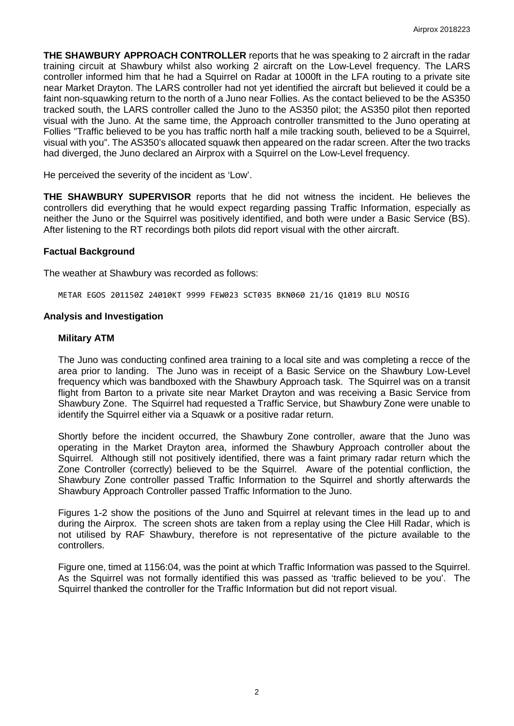**THE SHAWBURY APPROACH CONTROLLER** reports that he was speaking to 2 aircraft in the radar training circuit at Shawbury whilst also working 2 aircraft on the Low-Level frequency. The LARS controller informed him that he had a Squirrel on Radar at 1000ft in the LFA routing to a private site near Market Drayton. The LARS controller had not yet identified the aircraft but believed it could be a faint non-squawking return to the north of a Juno near Follies. As the contact believed to be the AS350 tracked south, the LARS controller called the Juno to the AS350 pilot; the AS350 pilot then reported visual with the Juno. At the same time, the Approach controller transmitted to the Juno operating at Follies "Traffic believed to be you has traffic north half a mile tracking south, believed to be a Squirrel, visual with you". The AS350's allocated squawk then appeared on the radar screen. After the two tracks had diverged, the Juno declared an Airprox with a Squirrel on the Low-Level frequency.

He perceived the severity of the incident as 'Low'.

**THE SHAWBURY SUPERVISOR** reports that he did not witness the incident. He believes the controllers did everything that he would expect regarding passing Traffic Information, especially as neither the Juno or the Squirrel was positively identified, and both were under a Basic Service (BS). After listening to the RT recordings both pilots did report visual with the other aircraft.

#### **Factual Background**

The weather at Shawbury was recorded as follows:

METAR EGOS 201150Z 24010KT 9999 FEW023 SCT035 BKN060 21/16 Q1019 BLU NOSIG

#### **Analysis and Investigation**

#### **Military ATM**

The Juno was conducting confined area training to a local site and was completing a recce of the area prior to landing. The Juno was in receipt of a Basic Service on the Shawbury Low-Level frequency which was bandboxed with the Shawbury Approach task. The Squirrel was on a transit flight from Barton to a private site near Market Drayton and was receiving a Basic Service from Shawbury Zone. The Squirrel had requested a Traffic Service, but Shawbury Zone were unable to identify the Squirrel either via a Squawk or a positive radar return.

Shortly before the incident occurred, the Shawbury Zone controller, aware that the Juno was operating in the Market Drayton area, informed the Shawbury Approach controller about the Squirrel. Although still not positively identified, there was a faint primary radar return which the Zone Controller (correctly) believed to be the Squirrel. Aware of the potential confliction, the Shawbury Zone controller passed Traffic Information to the Squirrel and shortly afterwards the Shawbury Approach Controller passed Traffic Information to the Juno.

Figures 1-2 show the positions of the Juno and Squirrel at relevant times in the lead up to and during the Airprox. The screen shots are taken from a replay using the Clee Hill Radar, which is not utilised by RAF Shawbury, therefore is not representative of the picture available to the controllers.

Figure one, timed at 1156:04, was the point at which Traffic Information was passed to the Squirrel. As the Squirrel was not formally identified this was passed as 'traffic believed to be you'. The Squirrel thanked the controller for the Traffic Information but did not report visual.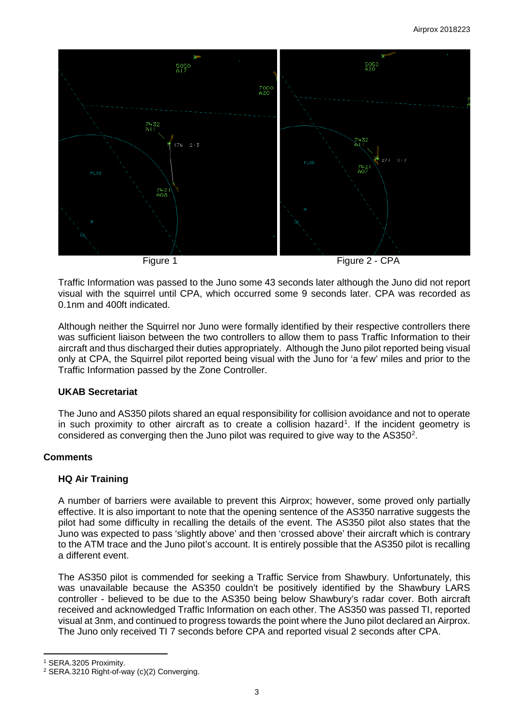

Traffic Information was passed to the Juno some 43 seconds later although the Juno did not report visual with the squirrel until CPA, which occurred some 9 seconds later. CPA was recorded as 0.1nm and 400ft indicated.

Although neither the Squirrel nor Juno were formally identified by their respective controllers there was sufficient liaison between the two controllers to allow them to pass Traffic Information to their aircraft and thus discharged their duties appropriately. Although the Juno pilot reported being visual only at CPA, the Squirrel pilot reported being visual with the Juno for 'a few' miles and prior to the Traffic Information passed by the Zone Controller.

# **UKAB Secretariat**

The Juno and AS350 pilots shared an equal responsibility for collision avoidance and not to operate in such proximity to other aircraft as to create a collision hazard<sup>[1](#page-2-0)</sup>. If the incident geometry is considered as converging then the Juno pilot was required to give way to the  $AS350<sup>2</sup>$  $AS350<sup>2</sup>$  $AS350<sup>2</sup>$ .

#### **Comments**

# **HQ Air Training**

A number of barriers were available to prevent this Airprox; however, some proved only partially effective. It is also important to note that the opening sentence of the AS350 narrative suggests the pilot had some difficulty in recalling the details of the event. The AS350 pilot also states that the Juno was expected to pass 'slightly above' and then 'crossed above' their aircraft which is contrary to the ATM trace and the Juno pilot's account. It is entirely possible that the AS350 pilot is recalling a different event.

The AS350 pilot is commended for seeking a Traffic Service from Shawbury. Unfortunately, this was unavailable because the AS350 couldn't be positively identified by the Shawbury LARS controller - believed to be due to the AS350 being below Shawbury's radar cover. Both aircraft received and acknowledged Traffic Information on each other. The AS350 was passed TI, reported visual at 3nm, and continued to progress towards the point where the Juno pilot declared an Airprox. The Juno only received TI 7 seconds before CPA and reported visual 2 seconds after CPA.

l

<span id="page-2-0"></span><sup>1</sup> SERA.3205 Proximity.

<span id="page-2-1"></span><sup>2</sup> SERA.3210 Right-of-way (c)(2) Converging.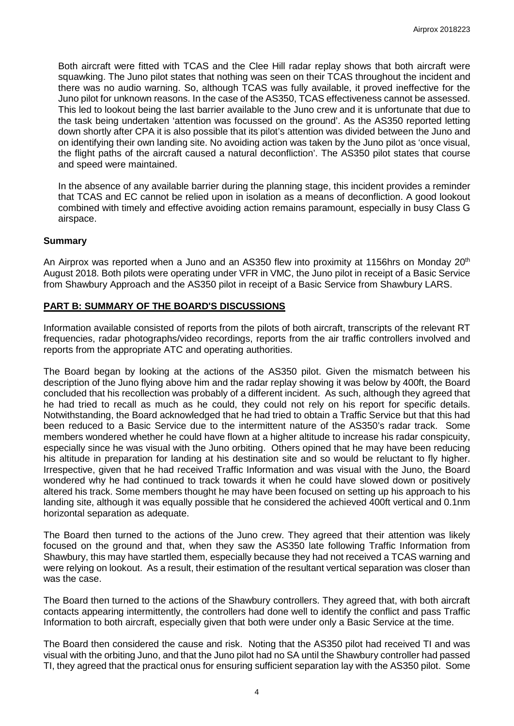Both aircraft were fitted with TCAS and the Clee Hill radar replay shows that both aircraft were squawking. The Juno pilot states that nothing was seen on their TCAS throughout the incident and there was no audio warning. So, although TCAS was fully available, it proved ineffective for the Juno pilot for unknown reasons. In the case of the AS350, TCAS effectiveness cannot be assessed. This led to lookout being the last barrier available to the Juno crew and it is unfortunate that due to the task being undertaken 'attention was focussed on the ground'. As the AS350 reported letting down shortly after CPA it is also possible that its pilot's attention was divided between the Juno and on identifying their own landing site. No avoiding action was taken by the Juno pilot as 'once visual, the flight paths of the aircraft caused a natural deconfliction'. The AS350 pilot states that course and speed were maintained.

In the absence of any available barrier during the planning stage, this incident provides a reminder that TCAS and EC cannot be relied upon in isolation as a means of deconfliction. A good lookout combined with timely and effective avoiding action remains paramount, especially in busy Class G airspace.

### **Summary**

An Airprox was reported when a Juno and an AS350 flew into proximity at 1156hrs on Monday 20<sup>th</sup> August 2018. Both pilots were operating under VFR in VMC, the Juno pilot in receipt of a Basic Service from Shawbury Approach and the AS350 pilot in receipt of a Basic Service from Shawbury LARS.

# **PART B: SUMMARY OF THE BOARD'S DISCUSSIONS**

Information available consisted of reports from the pilots of both aircraft, transcripts of the relevant RT frequencies, radar photographs/video recordings, reports from the air traffic controllers involved and reports from the appropriate ATC and operating authorities.

The Board began by looking at the actions of the AS350 pilot. Given the mismatch between his description of the Juno flying above him and the radar replay showing it was below by 400ft, the Board concluded that his recollection was probably of a different incident. As such, although they agreed that he had tried to recall as much as he could, they could not rely on his report for specific details. Notwithstanding, the Board acknowledged that he had tried to obtain a Traffic Service but that this had been reduced to a Basic Service due to the intermittent nature of the AS350's radar track. Some members wondered whether he could have flown at a higher altitude to increase his radar conspicuity, especially since he was visual with the Juno orbiting. Others opined that he may have been reducing his altitude in preparation for landing at his destination site and so would be reluctant to fly higher. Irrespective, given that he had received Traffic Information and was visual with the Juno, the Board wondered why he had continued to track towards it when he could have slowed down or positively altered his track. Some members thought he may have been focused on setting up his approach to his landing site, although it was equally possible that he considered the achieved 400ft vertical and 0.1nm horizontal separation as adequate.

The Board then turned to the actions of the Juno crew. They agreed that their attention was likely focused on the ground and that, when they saw the AS350 late following Traffic Information from Shawbury, this may have startled them, especially because they had not received a TCAS warning and were relying on lookout. As a result, their estimation of the resultant vertical separation was closer than was the case.

The Board then turned to the actions of the Shawbury controllers. They agreed that, with both aircraft contacts appearing intermittently, the controllers had done well to identify the conflict and pass Traffic Information to both aircraft, especially given that both were under only a Basic Service at the time.

The Board then considered the cause and risk. Noting that the AS350 pilot had received TI and was visual with the orbiting Juno, and that the Juno pilot had no SA until the Shawbury controller had passed TI, they agreed that the practical onus for ensuring sufficient separation lay with the AS350 pilot. Some